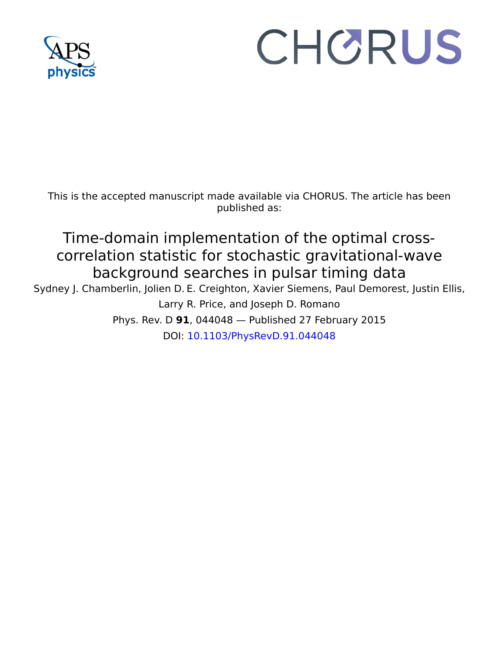

# CHORUS

This is the accepted manuscript made available via CHORUS. The article has been published as:

## Time-domain implementation of the optimal crosscorrelation statistic for stochastic gravitational-wave background searches in pulsar timing data

Sydney J. Chamberlin, Jolien D. E. Creighton, Xavier Siemens, Paul Demorest, Justin Ellis, Larry R. Price, and Joseph D. Romano Phys. Rev. D **91**, 044048 — Published 27 February 2015 DOI: [10.1103/PhysRevD.91.044048](http://dx.doi.org/10.1103/PhysRevD.91.044048)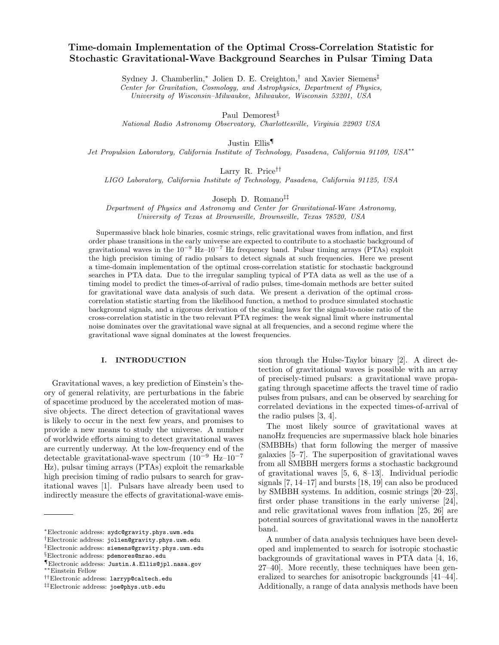### Time-domain Implementation of the Optimal Cross-Correlation Statistic for Stochastic Gravitational-Wave Background Searches in Pulsar Timing Data

Sydney J. Chamberlin,<sup>∗</sup> Jolien D. E. Creighton,<sup>†</sup> and Xavier Siemens<sup>‡</sup>

Center for Gravitation, Cosmology, and Astrophysics, Department of Physics,

University of Wisconsin–Milwaukee, Milwaukee, Wisconsin 53201, USA

Paul Demorest<sup>§</sup>

National Radio Astronomy Observatory, Charlottesville, Virginia 22903 USA

Justin Ellis¶

Jet Propulsion Laboratory, California Institute of Technology, Pasadena, California 91109, USA∗∗

Larry R. Price††

LIGO Laboratory, California Institute of Technology, Pasadena, California 91125, USA

Joseph D. Romano‡‡

Department of Physics and Astronomy and Center for Gravitational-Wave Astronomy, University of Texas at Brownsville, Brownsville, Texas 78520, USA

Supermassive black hole binaries, cosmic strings, relic gravitational waves from inflation, and first order phase transitions in the early universe are expected to contribute to a stochastic background of gravitational waves in the  $10^{-9}$  Hz– $10^{-7}$  Hz frequency band. Pulsar timing arrays (PTAs) exploit the high precision timing of radio pulsars to detect signals at such frequencies. Here we present a time-domain implementation of the optimal cross-correlation statistic for stochastic background searches in PTA data. Due to the irregular sampling typical of PTA data as well as the use of a timing model to predict the times-of-arrival of radio pulses, time-domain methods are better suited for gravitational wave data analysis of such data. We present a derivation of the optimal crosscorrelation statistic starting from the likelihood function, a method to produce simulated stochastic background signals, and a rigorous derivation of the scaling laws for the signal-to-noise ratio of the cross-correlation statistic in the two relevant PTA regimes: the weak signal limit where instrumental noise dominates over the gravitational wave signal at all frequencies, and a second regime where the gravitational wave signal dominates at the lowest frequencies.

#### I. INTRODUCTION

Gravitational waves, a key prediction of Einstein's theory of general relativity, are perturbations in the fabric of spacetime produced by the accelerated motion of massive objects. The direct detection of gravitational waves is likely to occur in the next few years, and promises to provide a new means to study the universe. A number of worldwide efforts aiming to detect gravitational waves are currently underway. At the low-frequency end of the detectable gravitational-wave spectrum  $(10^{-9}$  Hz– $10^{-7}$ Hz), pulsar timing arrays (PTAs) exploit the remarkable high precision timing of radio pulsars to search for gravitational waves [1]. Pulsars have already been used to indirectly measure the effects of gravitational-wave emission through the Hulse-Taylor binary [2]. A direct detection of gravitational waves is possible with an array of precisely-timed pulsars: a gravitational wave propagating through spacetime affects the travel time of radio pulses from pulsars, and can be observed by searching for correlated deviations in the expected times-of-arrival of the radio pulses [3, 4].

The most likely source of gravitational waves at nanoHz frequencies are supermassive black hole binaries (SMBBHs) that form following the merger of massive galaxies [5–7]. The superposition of gravitational waves from all SMBBH mergers forms a stochastic background of gravitational waves [5, 6, 8–13]. Individual periodic signals [7, 14–17] and bursts [18, 19] can also be produced by SMBBH systems. In addition, cosmic strings [20–23], first order phase transitions in the early universe [24], and relic gravitational waves from inflation [25, 26] are potential sources of gravitational waves in the nanoHertz band.

A number of data analysis techniques have been developed and implemented to search for isotropic stochastic backgrounds of gravitational waves in PTA data [4, 16, 27–40]. More recently, these techniques have been generalized to searches for anisotropic backgrounds [41–44]. Additionally, a range of data analysis methods have been

<sup>∗</sup>Electronic address: sydc@gravity.phys.uwm.edu

<sup>†</sup>Electronic address: jolien@gravity.phys.uwm.edu

<sup>‡</sup>Electronic address: siemens@gravity.phys.uwm.edu

<sup>§</sup>Electronic address: pdemores@nrao.edu

<sup>¶</sup>Electronic address: Justin.A.Ellis@jpl.nasa.gov ∗∗Einstein Fellow

<sup>††</sup>Electronic address: larryp@caltech.edu

<sup>‡‡</sup>Electronic address: joe@phys.utb.edu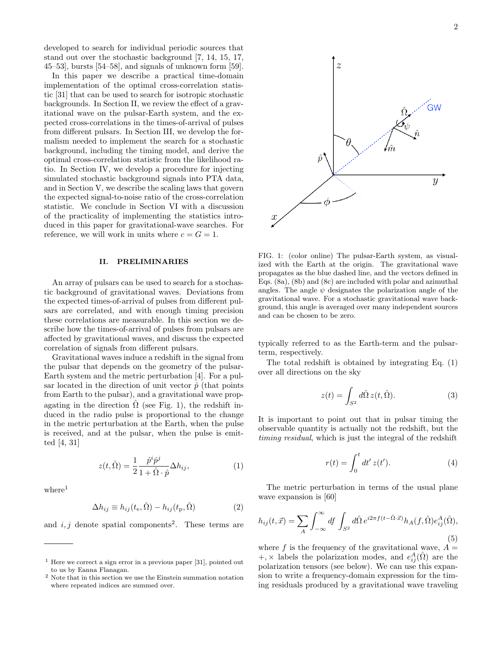developed to search for individual periodic sources that stand out over the stochastic background [7, 14, 15, 17, 45–53], bursts [54–58], and signals of unknown form [59].

In this paper we describe a practical time-domain implementation of the optimal cross-correlation statistic [31] that can be used to search for isotropic stochastic backgrounds. In Section II, we review the effect of a gravitational wave on the pulsar-Earth system, and the expected cross-correlations in the times-of-arrival of pulses from different pulsars. In Section III, we develop the formalism needed to implement the search for a stochastic background, including the timing model, and derive the optimal cross-correlation statistic from the likelihood ratio. In Section IV, we develop a procedure for injecting simulated stochastic background signals into PTA data, and in Section V, we describe the scaling laws that govern the expected signal-to-noise ratio of the cross-correlation statistic. We conclude in Section VI with a discussion of the practicality of implementing the statistics introduced in this paper for gravitational-wave searches. For reference, we will work in units where  $c = G = 1$ .

#### II. PRELIMINARIES

An array of pulsars can be used to search for a stochastic background of gravitational waves. Deviations from the expected times-of-arrival of pulses from different pulsars are correlated, and with enough timing precision these correlations are measurable. In this section we describe how the times-of-arrival of pulses from pulsars are affected by gravitational waves, and discuss the expected correlation of signals from different pulsars.

Gravitational waves induce a redshift in the signal from the pulsar that depends on the geometry of the pulsar-Earth system and the metric perturbation [4]. For a pulsar located in the direction of unit vector  $\hat{p}$  (that points from Earth to the pulsar), and a gravitational wave propagating in the direction  $\Omega$  (see Fig. 1), the redshift induced in the radio pulse is proportional to the change in the metric perturbation at the Earth, when the pulse is received, and at the pulsar, when the pulse is emitted [4, 31]

$$
z(t,\hat{\Omega}) = \frac{1}{2} \frac{\hat{p}^i \hat{p}^j}{1 + \hat{\Omega} \cdot \hat{p}} \Delta h_{ij},\tag{1}
$$

 $where<sup>1</sup>$ 

$$
\Delta h_{ij} \equiv h_{ij}(t_{\rm e}, \hat{\Omega}) - h_{ij}(t_{\rm p}, \hat{\Omega}) \tag{2}
$$

and  $i, j$  denote spatial components<sup>2</sup>. These terms are



FIG. 1: (color online) The pulsar-Earth system, as visualized with the Earth at the origin. The gravitational wave propagates as the blue dashed line, and the vectors defined in Eqs. (8a), (8b) and (8c) are included with polar and azimuthal angles. The angle  $\psi$  designates the polarization angle of the gravitational wave. For a stochastic gravitational wave background, this angle is averaged over many independent sources and can be chosen to be zero.

typically referred to as the Earth-term and the pulsarterm, respectively.

The total redshift is obtained by integrating Eq. (1) over all directions on the sky

$$
z(t) = \int_{S^2} d\hat{\Omega} z(t, \hat{\Omega}).
$$
 (3)

It is important to point out that in pulsar timing the observable quantity is actually not the redshift, but the timing residual, which is just the integral of the redshift

$$
r(t) = \int_0^t dt' z(t').
$$
 (4)

The metric perturbation in terms of the usual plane wave expansion is [60]

$$
h_{ij}(t, \vec{x}) = \sum_{A} \int_{-\infty}^{\infty} df \int_{S^2} d\hat{\Omega} e^{i2\pi f(t - \hat{\Omega} \cdot \vec{x})} h_A(f, \hat{\Omega}) e_{ij}^A(\hat{\Omega}), \tag{5}
$$

where f is the frequency of the gravitational wave,  $A =$ +, × labels the polarization modes, and  $e_{ij}^A(\hat{\Omega})$  are the polarization tensors (see below). We can use this expansion to write a frequency-domain expression for the timing residuals produced by a gravitational wave traveling

 $<sup>1</sup>$  Here we correct a sign error in a previous paper [31], pointed out</sup> to us by Eanna Flanagan.

<sup>2</sup> Note that in this section we use the Einstein summation notation where repeated indices are summed over.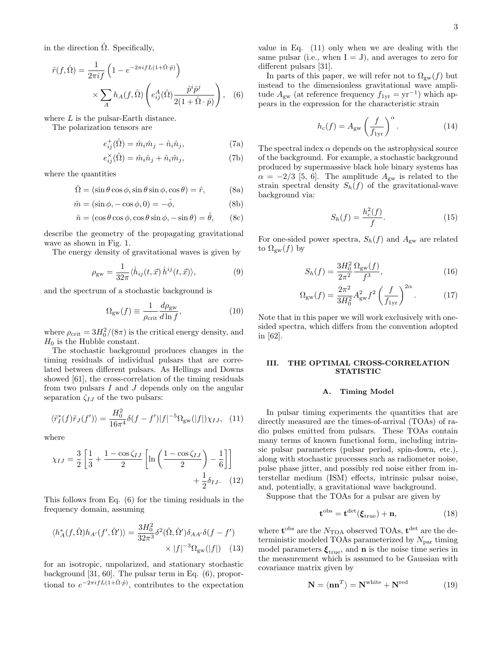in the direction  $\hat{\Omega}$ . Specifically,

$$
\tilde{r}(f,\hat{\Omega}) = \frac{1}{2\pi i f} \left( 1 - e^{-2\pi i f L(1+\hat{\Omega}\cdot\hat{p})} \right) \times \sum_{A} h_A(f,\hat{\Omega}) \left( e_{ij}^A(\hat{\Omega}) \frac{\hat{p}^i \hat{p}^j}{2(1+\hat{\Omega}\cdot\hat{p})} \right), \quad (6)
$$

where L is the pulsar-Earth distance.

The polarization tensors are

$$
e_{ij}^{+}(\hat{\Omega}) = \hat{m}_i \hat{m}_j - \hat{n}_i \hat{n}_j, \tag{7a}
$$

$$
e_{ij}^{\times}(\hat{\Omega}) = \hat{m}_i \hat{n}_j + \hat{n}_i \hat{m}_j, \tag{7b}
$$

where the quantities

$$
\hat{\Omega} = (\sin \theta \cos \phi, \sin \theta \sin \phi, \cos \theta) = \hat{r}, \quad (8a)
$$

$$
\hat{m} = (\sin \phi, -\cos \phi, 0) = -\hat{\phi},\tag{8b}
$$

$$
\hat{n} = (\cos \theta \cos \phi, \cos \theta \sin \phi, -\sin \theta) = \hat{\theta}, \qquad (8c)
$$

describe the geometry of the propagating gravitational wave as shown in Fig. 1.

The energy density of gravitational waves is given by

$$
\rho_{\rm gw} = \frac{1}{32\pi} \langle \dot{h}_{ij}(t,\vec{x}) \, \dot{h}^{ij}(t,\vec{x}) \rangle, \tag{9}
$$

and the spectrum of a stochastic background is

$$
\Omega_{\rm gw}(f) \equiv \frac{1}{\rho_{\rm crit}} \frac{d\rho_{\rm gw}}{d\ln f},\tag{10}
$$

where  $\rho_{\rm crit} = 3H_0^2/(8\pi)$  is the critical energy density, and  $H_0$  is the Hubble constant.

The stochastic background produces changes in the timing residuals of individual pulsars that are correlated between different pulsars. As Hellings and Downs showed [61], the cross-correlation of the timing residuals from two pulsars  $I$  and  $J$  depends only on the angular separation  $\zeta_{IJ}$  of the two pulsars:

$$
\langle \tilde{r}_I^*(f)\tilde{r}_J(f')\rangle = \frac{H_0^2}{16\pi^4} \delta(f - f')|f|^{-5} \Omega_{\text{gw}}(|f|) \chi_{IJ}, \tag{11}
$$

where

$$
\chi_{IJ} = \frac{3}{2} \left[ \frac{1}{3} + \frac{1 - \cos \zeta_{IJ}}{2} \left[ \ln \left( \frac{1 - \cos \zeta_{IJ}}{2} \right) - \frac{1}{6} \right] \right] + \frac{1}{2} \delta_{IJ}.
$$
 (12)

This follows from Eq. (6) for the timing residuals in the frequency domain, assuming

$$
\langle h_A^*(f, \hat{\Omega})h_{A'}(f', \hat{\Omega}') \rangle = \frac{3H_0^2}{32\pi^3} \delta^2(\hat{\Omega}, \hat{\Omega}')\delta_{AA'}\delta(f - f')
$$
  
 
$$
\times |f|^{-3} \Omega_{\text{gw}}(|f|) \quad (13)
$$

for an isotropic, unpolarized, and stationary stochastic background [31, 60]. The pulsar term in Eq. (6), proportional to  $e^{-2\pi i f L(1+\hat{\Omega}\cdot\hat{p})}$ , contributes to the expectation

value in Eq. (11) only when we are dealing with the same pulsar (i.e., when  $I = J$ ), and averages to zero for different pulsars [31].

In parts of this paper, we will refer not to  $\Omega_{gw}(f)$  but instead to the dimensionless gravitational wave amplitude  $A_{\text{gw}}$  (at reference frequency  $f_{1yr} = yr^{-1}$ ) which appears in the expression for the characteristic strain

$$
h_c(f) = A_{\rm gw} \left(\frac{f}{f_{\rm 1yr}}\right)^{\alpha}.
$$
 (14)

The spectral index  $\alpha$  depends on the astrophysical source of the background. For example, a stochastic background produced by supermassive black hole binary systems has  $\alpha = -2/3$  [5, 6]. The amplitude  $A_{\rm gw}$  is related to the strain spectral density  $S_h(f)$  of the gravitational-wave background via:

$$
S_h(f) = \frac{h_c^2(f)}{f}.\tag{15}
$$

For one-sided power spectra,  $S_h(f)$  and  $A_{gw}$  are related to  $\Omega_{\text{ew}}(f)$  by

$$
S_h(f) = \frac{3H_0^2}{2\pi^2} \frac{\Omega_{\rm gw}(f)}{f^3},\tag{16}
$$

$$
\Omega_{\rm gw}(f) = \frac{2\pi^2}{3H_0^2} A_{\rm gw}^2 f^2 \left(\frac{f}{f_{\rm 1yr}}\right)^{2\alpha}.
$$
 (17)

Note that in this paper we will work exclusively with onesided spectra, which differs from the convention adopted in [62].

#### III. THE OPTIMAL CROSS-CORRELATION STATISTIC

#### A. Timing Model

In pulsar timing experiments the quantities that are directly measured are the times-of-arrival (TOAs) of radio pulses emitted from pulsars. These TOAs contain many terms of known functional form, including intrinsic pulsar parameters (pulsar period, spin-down, etc.), along with stochastic processes such as radiometer noise, pulse phase jitter, and possibly red noise either from interstellar medium (ISM) effects, intrinsic pulsar noise, and, potentially, a gravitational wave background.

Suppose that the TOAs for a pulsar are given by

$$
\mathbf{t}^{\text{obs}} = \mathbf{t}^{\text{det}}(\boldsymbol{\xi}_{\text{true}}) + \mathbf{n},\tag{18}
$$

where  $t^{\text{obs}}$  are the  $N_{\text{TOA}}$  observed TOAs,  $t^{\text{det}}$  are the deterministic modeled TOAs parameterized by  $N_{\text{par}}$  timing model parameters  $\xi_{\text{true}}$ , and **n** is the noise time series in the measurement which is assumed to be Gaussian with covariance matrix given by

$$
\mathbf{N} = \langle \mathbf{n} \mathbf{n}^T \rangle = \mathbf{N}^{\text{white}} + \mathbf{N}^{\text{red}} \tag{19}
$$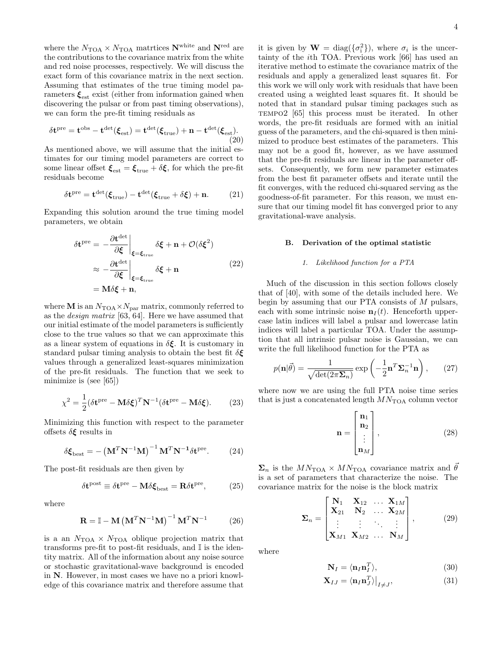where the  $N_{\rm TOA} \times N_{\rm TOA}$  matrtices  ${\bf N}^{\rm white}$  and  ${\bf N}^{\rm red}$  are the contributions to the covariance matrix from the white and red noise processes, respectively. We will discuss the exact form of this covariance matrix in the next section. Assuming that estimates of the true timing model parameters  $\xi_{\text{est}}$  exist (either from information gained when discovering the pulsar or from past timing observations), we can form the pre-fit timing residuals as

$$
\delta \mathbf{t}^{\mathrm{pre}} = \mathbf{t}^{\mathrm{obs}} - \mathbf{t}^{\mathrm{det}}(\boldsymbol{\xi}_{\mathrm{est}}) = \mathbf{t}^{\mathrm{det}}(\boldsymbol{\xi}_{\mathrm{true}}) + \mathbf{n} - \mathbf{t}^{\mathrm{det}}(\boldsymbol{\xi}_{\mathrm{est}}). \tag{20}
$$

As mentioned above, we will assume that the initial estimates for our timing model parameters are correct to some linear offset  $\xi_{\text{est}} = \xi_{\text{true}} + \delta \xi$ , for which the pre-fit residuals become

$$
\delta \mathbf{t}^{\text{pre}} = \mathbf{t}^{\text{det}}(\boldsymbol{\xi}_{\text{true}}) - \mathbf{t}^{\text{det}}(\boldsymbol{\xi}_{\text{true}} + \delta \boldsymbol{\xi}) + \mathbf{n}.
$$
 (21)

Expanding this solution around the true timing model parameters, we obtain

$$
\delta \mathbf{t}^{\text{pre}} = -\frac{\partial \mathbf{t}^{\text{det}}}{\partial \xi} \Big|_{\xi = \xi_{\text{true}}} \delta \xi + \mathbf{n} + \mathcal{O}(\delta \xi^2)
$$

$$
\approx -\frac{\partial \mathbf{t}^{\text{det}}}{\partial \xi} \Big|_{\xi = \xi_{\text{true}}} \delta \xi + \mathbf{n}
$$

$$
= \mathbf{M} \delta \xi + \mathbf{n}, \tag{22}
$$

where **M** is an  $N_{\text{TOA}} \times N_{\text{par}}$  matrix, commonly referred to as the design matrix [63, 64]. Here we have assumed that our initial estimate of the model parameters is sufficiently close to the true values so that we can approximate this as a linear system of equations in  $\delta \xi$ . It is customary in standard pulsar timing analysis to obtain the best fit  $\delta \boldsymbol{\xi}$ values through a generalized least-squares minimization of the pre-fit residuals. The function that we seek to minimize is (see [65])

$$
\chi^2 = \frac{1}{2} (\delta \mathbf{t}^{\text{pre}} - \mathbf{M} \delta \boldsymbol{\xi})^T \mathbf{N}^{-1} (\delta \mathbf{t}^{\text{pre}} - \mathbf{M} \delta \boldsymbol{\xi}). \tag{23}
$$

Minimizing this function with respect to the parameter offsets  $\delta \boldsymbol{\xi}$  results in

$$
\delta \boldsymbol{\xi}_{\text{best}} = -\left(\mathbf{M}^T \mathbf{N}^{-1} \mathbf{M}\right)^{-1} \mathbf{M}^T \mathbf{N}^{-1} \delta \mathbf{t}^{\text{pre}}. \tag{24}
$$

The post-fit residuals are then given by

$$
\delta t^{\text{post}} \equiv \delta t^{\text{pre}} - \mathbf{M} \delta \boldsymbol{\xi}_{\text{best}} = \mathbf{R} \delta t^{\text{pre}},\tag{25}
$$

where

$$
\mathbf{R} = \mathbb{I} - \mathbf{M} \left( \mathbf{M}^T \mathbf{N}^{-1} \mathbf{M} \right)^{-1} \mathbf{M}^T \mathbf{N}^{-1} \tag{26}
$$

is a an  $N_{\text{TOA}} \times N_{\text{TOA}}$  oblique projection matrix that transforms pre-fit to post-fit residuals, and I is the identity matrix. All of the information about any noise source or stochastic gravitational-wave background is encoded in N. However, in most cases we have no a priori knowledge of this covariance matrix and therefore assume that

it is given by  $\mathbf{W} = \text{diag}(\{\sigma_i^2\})$ , where  $\sigma_i$  is the uncertainty of the ith TOA. Previous work [66] has used an iterative method to estimate the covariance matrix of the residuals and apply a generalized least squares fit. For this work we will only work with residuals that have been created using a weighted least squares fit. It should be noted that in standard pulsar timing packages such as TEMPO2 [65] this process must be iterated. In other words, the pre-fit residuals are formed with an initial guess of the parameters, and the chi-squared is then minimized to produce best estimates of the parameters. This may not be a good fit, however, as we have assumed that the pre-fit residuals are linear in the parameter offsets. Consequently, we form new parameter estimates from the best fit parameter offsets and iterate until the fit converges, with the reduced chi-squared serving as the goodness-of-fit parameter. For this reason, we must ensure that our timing model fit has converged prior to any gravitational-wave analysis.

#### B. Derivation of the optimal statistic

#### 1. Likelihood function for a PTA

Much of the discussion in this section follows closely that of [40], with some of the details included here. We begin by assuming that our PTA consists of M pulsars, each with some intrinsic noise  $\mathbf{n}_I(t)$ . Henceforth uppercase latin indices will label a pulsar and lowercase latin indices will label a particular TOA. Under the assumption that all intrinsic pulsar noise is Gaussian, we can write the full likelihood function for the PTA as

$$
p(\mathbf{n}|\vec{\theta}) = \frac{1}{\sqrt{\det(2\pi\mathbf{\Sigma}_n)}} \exp\left(-\frac{1}{2}\mathbf{n}^T\mathbf{\Sigma}_n^{-1}\mathbf{n}\right),\qquad(27)
$$

where now we are using the full PTA noise time series that is just a concatenated length  $MN_{\text{TOA}}$  column vector

$$
\mathbf{n} = \begin{bmatrix} \mathbf{n}_1 \\ \mathbf{n}_2 \\ \vdots \\ \mathbf{n}_M \end{bmatrix},
$$
 (28)

 $\Sigma_n$  is the  $MN_{\text{TOA}} \times MN_{\text{TOA}}$  covariance matrix and  $\vec{\theta}$ is a set of parameters that characterize the noise. The covariance matrix for the noise is the block matrix

$$
\Sigma_n = \begin{bmatrix} \mathbf{N}_1 & \mathbf{X}_{12} & \dots & \mathbf{X}_{1M} \\ \mathbf{X}_{21} & \mathbf{N}_2 & \dots & \mathbf{X}_{2M} \\ \vdots & \vdots & \ddots & \vdots \\ \mathbf{X}_{M1} & \mathbf{X}_{M2} & \dots & \mathbf{N}_M \end{bmatrix},
$$
(29)

where

$$
\mathbf{N}_I = \langle \mathbf{n}_I \mathbf{n}_I^T \rangle, \tag{30}
$$

$$
\mathbf{X}_{IJ} = \langle \mathbf{n}_I \mathbf{n}_J^T \rangle \big|_{I \neq J},\tag{31}
$$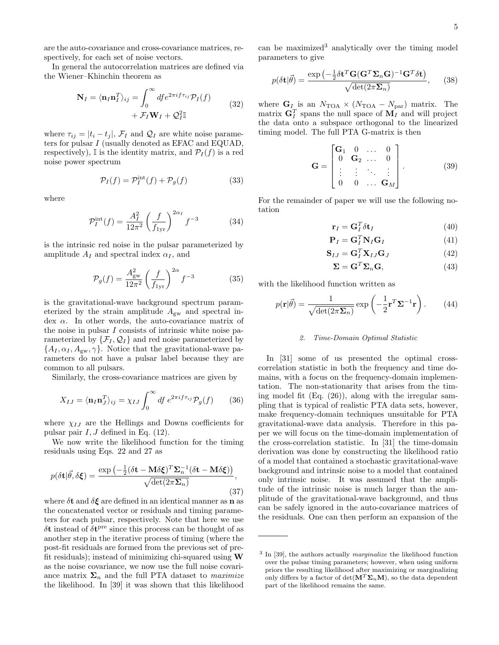are the auto-covariance and cross-covariance matrices, respectively, for each set of noise vectors.

In general the autocorrelation matrices are defined via the Wiener–Khinchin theorem as

$$
\mathbf{N}_I = \langle \mathbf{n}_I \mathbf{n}_I^T \rangle_{ij} = \int_0^\infty df e^{2\pi i f \tau_{ij}} \mathcal{P}_I(f) + \mathcal{F}_I \mathbf{W}_I + \mathcal{Q}_I^2 \mathbb{I}
$$
 (32)

where  $\tau_{ij} = |t_i - t_j|$ ,  $\mathcal{F}_I$  and  $\mathcal{Q}_I$  are white noise parameters for pulsar I (usually denoted as EFAC and EQUAD, respectively), I is the identity matrix, and  $\mathcal{P}_I(f)$  is a red noise power spectrum

$$
\mathcal{P}_I(f) = \mathcal{P}_I^{\text{int}}(f) + \mathcal{P}_g(f) \tag{33}
$$

where

$$
\mathcal{P}_I^{\text{int}}(f) = \frac{A_I^2}{12\pi^2} \left(\frac{f}{f_{1\text{yr}}}\right)^{2\alpha_I} f^{-3} \tag{34}
$$

is the intrinsic red noise in the pulsar parameterized by amplitude  $A_I$  and spectral index  $\alpha_I$ , and

$$
\mathcal{P}_g(f) = \frac{A_{\rm gw}^2}{12\pi^2} \left(\frac{f}{f_{\rm 1yr}}\right)^{2\alpha} f^{-3} \tag{35}
$$

is the gravitational-wave background spectrum parameterized by the strain amplitude  $A_{gw}$  and spectral in- $\gamma$  dex  $\alpha$ . In other words, the auto-covariance matrix of the noise in pulsar I consists of intrinsic white noise parameterized by  $\{\mathcal{F}_I,\mathcal{Q}_I\}$  and red noise parameterized by  $\{A_I, \alpha_I, A_{\rm gw}, \gamma\}$ . Notice that the gravitational-wave parameters do not have a pulsar label because they are common to all pulsars.

Similarly, the cross-covariance matrices are given by

$$
X_{IJ} = \langle \mathbf{n}_I \mathbf{n}_J^T \rangle_{ij} = \chi_{IJ} \int_0^\infty df \, e^{2\pi i f \tau_{ij}} \mathcal{P}_g(f) \qquad (36)
$$

where  $\chi_{II}$  are the Hellings and Downs coefficients for pulsar pair  $I, J$  defined in Eq. (12).

We now write the likelihood function for the timing residuals using Eqs. 22 and 27 as

$$
p(\delta \mathbf{t}|\vec{\theta}, \delta \xi) = \frac{\exp\left(-\frac{1}{2}(\delta \mathbf{t} - \mathbf{M}\delta \xi)^{T} \Sigma_{n}^{-1}(\delta \mathbf{t} - \mathbf{M}\delta \xi)\right)}{\sqrt{\det(2\pi \Sigma_{n})}},
$$
\n(37)

where  $\delta t$  and  $\delta \xi$  are defined in an identical manner as **n** as the concatenated vector or residuals and timing parameters for each pulsar, respectively. Note that here we use  $\delta t$  instead of  $\delta t^{\text{pre}}$  since this process can be thought of as another step in the iterative process of timing (where the post-fit residuals are formed from the previous set of prefit residuals); instead of minimizing chi-squared using  $W$ as the noise covariance, we now use the full noise covariance matrix  $\Sigma_n$  and the full PTA dataset to *maximize* the likelihood. In [39] it was shown that this likelihood

can be maximized<sup>3</sup> analytically over the timing model parameters to give

$$
p(\delta \mathbf{t}|\vec{\theta}) = \frac{\exp\left(-\frac{1}{2}\delta \mathbf{t}^T \mathbf{G}(\mathbf{G}^T \mathbf{\Sigma}_n \mathbf{G})^{-1} \mathbf{G}^T \delta \mathbf{t}\right)}{\sqrt{\det(2\pi \mathbf{\Sigma}_n)}},\qquad(38)
$$

where  $\mathbf{G}_I$  is an  $N_{\text{TOA}} \times (N_{\text{TOA}} - N_{\text{par}})$  matrix. The matrix  $G_I^T$  spans the null space of  $M_I$  and will project the data onto a subspace orthogonal to the linearized timing model. The full PTA G-matrix is then

$$
\mathbf{G} = \begin{bmatrix} \mathbf{G}_1 & 0 & \dots & 0 \\ 0 & \mathbf{G}_2 & \dots & 0 \\ \vdots & \vdots & \ddots & \vdots \\ 0 & 0 & \dots & \mathbf{G}_M \end{bmatrix} . \tag{39}
$$

For the remainder of paper we will use the following notation

$$
\mathbf{r}_I = \mathbf{G}_I^T \delta \mathbf{t}_I \tag{40}
$$

$$
\mathbf{P}_I = \mathbf{G}_I^T \mathbf{N}_I \mathbf{G}_I \tag{41}
$$

$$
\mathbf{S}_{IJ} = \mathbf{G}_I^T \mathbf{X}_{IJ} \mathbf{G}_J \tag{42}
$$

$$
\mathbf{\Sigma} = \mathbf{G}^T \mathbf{\Sigma}_n \mathbf{G},\tag{43}
$$

with the likelihood function written as

$$
p(\mathbf{r}|\vec{\theta}) = \frac{1}{\sqrt{\det(2\pi\mathbf{\Sigma}_n)}} \exp\left(-\frac{1}{2}\mathbf{r}^T\mathbf{\Sigma}^{-1}\mathbf{r}\right).
$$
 (44)

#### 2. Time-Domain Optimal Statistic

In [31] some of us presented the optimal crosscorrelation statistic in both the frequency and time domains, with a focus on the frequency-domain implementation. The non-stationarity that arises from the timing model fit (Eq. (26)), along with the irregular sampling that is typical of realistic PTA data sets, however, make frequency-domain techniques unsuitable for PTA gravitational-wave data analysis. Therefore in this paper we will focus on the time-domain implementation of the cross-correlation statistic. In [31] the time-domain derivation was done by constructing the likelihood ratio of a model that contained a stochastic gravitational-wave background and intrinsic noise to a model that contained only intrinsic noise. It was assumed that the amplitude of the intrinsic noise is much larger than the amplitude of the gravitational-wave background, and thus can be safely ignored in the auto-covariance matrices of the residuals. One can then perform an expansion of the

<sup>&</sup>lt;sup>3</sup> In [39], the authors actually *marginalize* the likelihood function over the pulsar timing parameters; however, when using uniform priors the resulting likelihood after maximizing or marginalizing only differs by a factor of  $\det(\mathbf{M}^T \Sigma_n \mathbf{M})$ , so the data dependent part of the likelihood remains the same.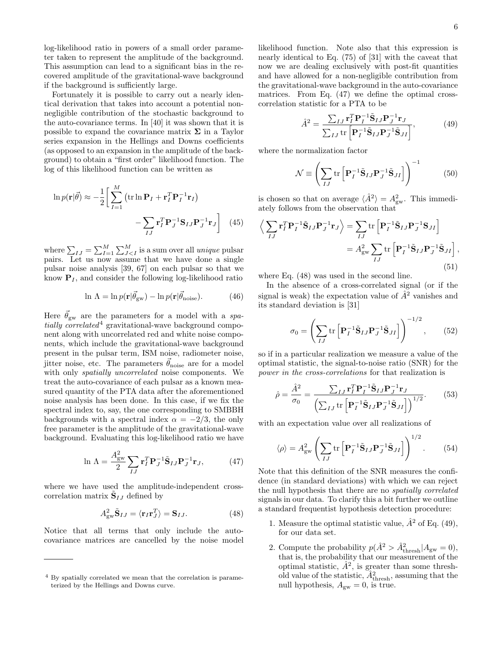log-likelihood ratio in powers of a small order parameter taken to represent the amplitude of the background. This assumption can lead to a significant bias in the recovered amplitude of the gravitational-wave background if the background is sufficiently large.

Fortunately it is possible to carry out a nearly identical derivation that takes into account a potential nonnegligible contribution of the stochastic background to the auto-covariance terms. In [40] it was shown that it is possible to expand the covariance matrix  $\Sigma$  in a Taylor series expansion in the Hellings and Downs coefficients (as opposed to an expansion in the amplitude of the background) to obtain a "first order" likelihood function. The log of this likelihood function can be written as

$$
\ln p(\mathbf{r}|\vec{\theta}) \approx -\frac{1}{2} \bigg[ \sum_{I=1}^{M} \left( \operatorname{tr} \ln \mathbf{P}_{I} + \mathbf{r}_{I}^{T} \mathbf{P}_{I}^{-1} \mathbf{r}_{I} \right) - \sum_{IJ} \mathbf{r}_{I}^{T} \mathbf{P}_{J}^{-1} \mathbf{S}_{IJ} \mathbf{P}_{J}^{-1} \mathbf{r}_{J} \bigg]
$$
(45)

where  $\sum_{IJ} = \sum_{I=1}^{M} \sum_{J < I}^{M}$  is a sum over all *unique* pulsar pairs. Let us now assume that we have done a single pulsar noise analysis [39, 67] on each pulsar so that we know  $P<sub>I</sub>$ , and consider the following log-likelihood ratio

$$
\ln \Lambda = \ln p(\mathbf{r}|\vec{\theta}_{\text{gw}}) - \ln p(\mathbf{r}|\vec{\theta}_{\text{noise}}). \tag{46}
$$

Here  $\theta_{\rm gw}$  are the parameters for a model with a spatially correlated<sup>4</sup> gravitational-wave background component along with uncorrelated red and white noise components, which include the gravitational-wave background present in the pulsar term, ISM noise, radiometer noise, jitter noise, etc. The parameters  $\theta_{\text{noise}}$  are for a model with only *spatially uncorrelated* noise components. We treat the auto-covariance of each pulsar as a known measured quantity of the PTA data after the aforementioned noise analysis has been done. In this case, if we fix the spectral index to, say, the one corresponding to SMBBH backgrounds with a spectral index  $\alpha = -2/3$ , the only free parameter is the amplitude of the gravitational-wave background. Evaluating this log-likelihood ratio we have

$$
\ln \Lambda = \frac{A_{\rm gw}^2}{2} \sum_{IJ} \mathbf{r}_I^T \mathbf{P}_J^{-1} \tilde{\mathbf{S}}_{IJ} \mathbf{P}_J^{-1} \mathbf{r}_J, \tag{47}
$$

where we have used the amplitude-independent crosscorrelation matrix  $\tilde{\mathbf{S}}_{IJ}$  defined by

$$
A_{\rm gw}^2 \tilde{\mathbf{S}}_{IJ} = \langle \mathbf{r}_I \mathbf{r}_J^T \rangle = \mathbf{S}_{IJ}.
$$
 (48)

Notice that all terms that only include the autocovariance matrices are cancelled by the noise model likelihood function. Note also that this expression is nearly identical to Eq. (75) of [31] with the caveat that now we are dealing exclusively with post-fit quantities and have allowed for a non-negligible contribution from the gravitational-wave background in the auto-covariance matrices. From Eq. (47) we define the optimal crosscorrelation statistic for a PTA to be

$$
\hat{A}^2 = \frac{\sum_{IJ} \mathbf{r}_I^T \mathbf{P}_I^{-1} \tilde{\mathbf{S}}_{IJ} \mathbf{P}_J^{-1} \mathbf{r}_J}{\sum_{IJ} \text{tr} \left[ \mathbf{P}_I^{-1} \tilde{\mathbf{S}}_{IJ} \mathbf{P}_J^{-1} \tilde{\mathbf{S}}_{JI} \right]},\tag{49}
$$

where the normalization factor

$$
\mathcal{N} \equiv \left( \sum_{IJ} \text{tr} \left[ \mathbf{P}_I^{-1} \tilde{\mathbf{S}}_{IJ} \mathbf{P}_J^{-1} \tilde{\mathbf{S}}_{JI} \right] \right)^{-1} \tag{50}
$$

is chosen so that on average  $\langle \hat{A}^2 \rangle = A_{\text{gw}}^2$ . This immediately follows from the observation that

$$
\left\langle \sum_{IJ} \mathbf{r}_I^T \mathbf{P}_I^{-1} \tilde{\mathbf{S}}_{IJ} \mathbf{P}_J^{-1} \mathbf{r}_J \right\rangle = \sum_{IJ} \text{tr} \left[ \mathbf{P}_I^{-1} \tilde{\mathbf{S}}_{IJ} \mathbf{P}_J^{-1} \mathbf{S}_{JI} \right]
$$

$$
= A_{\text{gw}}^2 \sum_{IJ} \text{tr} \left[ \mathbf{P}_I^{-1} \tilde{\mathbf{S}}_{IJ} \mathbf{P}_J^{-1} \tilde{\mathbf{S}}_{JI} \right], \tag{51}
$$

where Eq. (48) was used in the second line.

In the absence of a cross-correlated signal (or if the signal is weak) the expectation value of  $\hat{A}^2$  vanishes and its standard deviation is [31]

$$
\sigma_0 = \left(\sum_{IJ} \text{tr}\left[\mathbf{P}_I^{-1} \tilde{\mathbf{S}}_{IJ} \mathbf{P}_J^{-1} \tilde{\mathbf{S}}_{JI}\right]\right)^{-1/2},\qquad(52)
$$

so if in a particular realization we measure a value of the optimal statistic, the signal-to-noise ratio (SNR) for the power in the cross-correlations for that realization is

$$
\hat{\rho} = \frac{\hat{A}^2}{\sigma_0} = \frac{\sum_{IJ} \mathbf{r}_I^T \mathbf{P}_I^{-1} \tilde{\mathbf{S}}_{IJ} \mathbf{P}_J^{-1} \mathbf{r}_J}{\left(\sum_{IJ} \text{tr}\left[\mathbf{P}_I^{-1} \tilde{\mathbf{S}}_{IJ} \mathbf{P}_J^{-1} \tilde{\mathbf{S}}_{JI}\right]\right)^{1/2}}.
$$
(53)

with an expectation value over all realizations of

$$
\langle \rho \rangle = A_{\rm gw}^2 \left( \sum_{IJ} \text{tr} \left[ \mathbf{P}_I^{-1} \tilde{\mathbf{S}}_{IJ} \mathbf{P}_J^{-1} \tilde{\mathbf{S}}_{JI} \right] \right)^{1/2} . \tag{54}
$$

Note that this definition of the SNR measures the confidence (in standard deviations) with which we can reject the null hypothesis that there are no spatially correlated signals in our data. To clarify this a bit further we outline a standard frequentist hypothesis detection procedure:

- 1. Measure the optimal statistic value,  $\hat{A}^2$  of Eq. (49), for our data set.
- 2. Compute the probability  $p(\hat{A}^2 > \hat{A}^2_{\text{thresh}} | A_{\text{gw}} = 0)$ , that is, the probability that our measurement of the optimal statistic,  $\hat{A}^2$ , is greater than some threshold value of the statistic,  $\hat{A}^2_{\rm thresh}$ , assuming that the null hypothesis,  $A_{\text{gw}} = 0$ , is true.

<sup>4</sup> By spatially correlated we mean that the correlation is parameterized by the Hellings and Downs curve.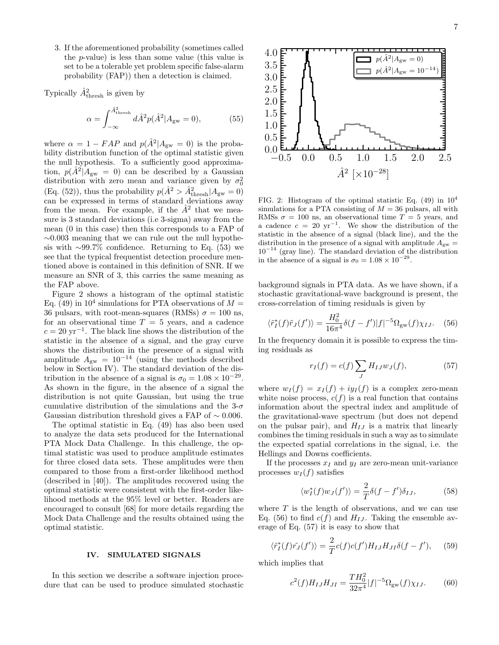3. If the aforementioned probability (sometimes called the p-value) is less than some value (this value is set to be a tolerable yet problem specific false-alarm probability (FAP)) then a detection is claimed.

Typically  $\hat{A}^2_{\text{thresh}}$  is given by

$$
\alpha = \int_{-\infty}^{\hat{A}_{\text{thresh}}^2} d\hat{A}^2 p(\hat{A}^2 | A_{\text{gw}} = 0), \tag{55}
$$

where  $\alpha = 1 - FAP$  and  $p(A^2|A_{\rm gw} = 0)$  is the probability distribution function of the optimal statistic given the null hypothesis. To a sufficiently good approximation,  $p(\hat{A}^2|A_{\rm gw}=0)$  can be described by a Gaussian distribution with zero mean and variance given by  $\sigma_0^2$ (Eq. (52)), thus the probability  $p(\hat{A}^2 > \hat{A}^2_{\rm thresh}|A_{\rm gw}=0)$ can be expressed in terms of standard deviations away from the mean. For example, if the  $\hat{A}^2$  that we measure is 3 standard deviations (i.e 3-sigma) away from the mean (0 in this case) then this corresponds to a FAP of ∼0.003 meaning that we can rule out the null hypothesis with  $\sim 99.7\%$  confidence. Returning to Eq. (53) we see that the typical frequentist detection procedure mentioned above is contained in this definition of SNR. If we measure an SNR of 3, this carries the same meaning as the FAP above.

Figure 2 shows a histogram of the optimal statistic Eq. (49) in  $10^4$  simulations for PTA observations of  $M =$ 36 pulsars, with root-mean-squares (RMSs)  $\sigma = 100$  ns, for an observational time  $T = 5$  years, and a cadence  $c = 20 \text{ yr}^{-1}$ . The black line shows the distribution of the statistic in the absence of a signal, and the gray curve shows the distribution in the presence of a signal with amplitude  $A_{\rm gw} = 10^{-14}$  (using the methods described below in Section IV). The standard deviation of the distribution in the absence of a signal is  $\sigma_0 = 1.08 \times 10^{-29}$ . As shown in the figure, in the absence of a signal the distribution is not quite Gaussian, but using the true cumulative distribution of the simulations and the  $3-\sigma$ Gaussian distribution threshold gives a FAP of  $\sim 0.006$ .

The optimal statistic in Eq. (49) has also been used to analyze the data sets produced for the International PTA Mock Data Challenge. In this challenge, the optimal statistic was used to produce amplitude estimates for three closed data sets. These amplitudes were then compared to those from a first-order likelihood method (described in [40]). The amplitudes recovered using the optimal statistic were consistent with the first-order likelihood methods at the 95% level or better. Readers are encouraged to consult [68] for more details regarding the Mock Data Challenge and the results obtained using the optimal statistic.

#### IV. SIMULATED SIGNALS

In this section we describe a software injection procedure that can be used to produce simulated stochastic



FIG. 2: Histogram of the optimal statistic Eq.  $(49)$  in  $10<sup>4</sup>$ simulations for a PTA consisting of  $M = 36$  pulsars, all with RMSs  $\sigma = 100$  ns, an observational time  $T = 5$  years, and a cadence  $c = 20 \text{ yr}^{-1}$ . We show the distribution of the statistic in the absence of a signal (black line), and the the distribution in the presence of a signal with amplitude  $A_{\text{gw}} =$  $10^{-14}$  (gray line). The standard deviation of the distribution in the absence of a signal is  $\sigma_0 = 1.08 \times 10^{-29}$ .

background signals in PTA data. As we have shown, if a stochastic gravitational-wave background is present, the cross-correlation of timing residuals is given by

$$
\langle \tilde{r}_I^*(f)\tilde{r}_J(f')\rangle = \frac{H_0^2}{16\pi^4} \delta(f - f')|f|^{-5} \Omega_{\text{gw}}(f)\chi_{IJ}.\tag{56}
$$

In the frequency domain it is possible to express the timing residuals as

$$
r_I(f) = c(f) \sum_J H_{IJ} w_J(f), \qquad (57)
$$

where  $w_I(f) = x_I(f) + iy_I(f)$  is a complex zero-mean white noise process,  $c(f)$  is a real function that contains information about the spectral index and amplitude of the gravitational-wave spectrum (but does not depend on the pulsar pair), and  $H_{IJ}$  is a matrix that linearly combines the timing residuals in such a way as to simulate the expected spatial correlations in the signal, i.e. the Hellings and Downs coefficients.

If the processes  $x_I$  and  $y_I$  are zero-mean unit-variance processes  $w_I(f)$  satisfies

$$
\langle w_I^*(f)w_J(f')\rangle = \frac{2}{T}\delta(f - f')\delta_{IJ},\tag{58}
$$

where  $T$  is the length of observations, and we can use Eq. (56) to find  $c(f)$  and  $H_{IJ}$ . Taking the ensemble average of Eq. (57) it is easy to show that

$$
\langle \tilde{r}_I^*(f)\tilde{r}_J(f')\rangle = \frac{2}{T}c(f)c(f')H_{IJ}H_{JI}\delta(f-f'),\quad(59)
$$

which implies that

$$
c^{2}(f)H_{IJ}H_{JI} = \frac{TH_{0}^{2}}{32\pi^{4}}|f|^{-5}\Omega_{\text{gw}}(f)\chi_{IJ}.
$$
 (60)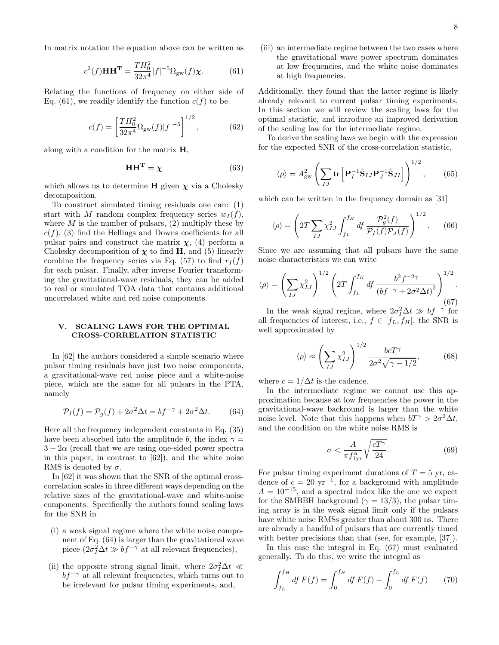In matrix notation the equation above can be written as

$$
c^{2}(f)\mathbf{H}\mathbf{H}^{\mathbf{T}} = \frac{TH_{0}^{2}}{32\pi^{4}}|f|^{-5}\Omega_{\text{gw}}(f)\chi.
$$
 (61)

Relating the functions of frequency on either side of Eq. (61), we readily identify the function  $c(f)$  to be

$$
c(f) = \left[\frac{TH_0^2}{32\pi^4} \Omega_{\rm gw}(f)|f|^{-5}\right]^{1/2},\tag{62}
$$

along with a condition for the matrix  $H$ ,

$$
\mathbf{HH}^{\mathbf{T}} = \chi \tag{63}
$$

which allows us to determine H given  $\chi$  via a Cholesky decomposition.

To construct simulated timing residuals one can: (1) start with M random complex frequency series  $w_I(f)$ , where  $M$  is the number of pulsars, (2) multiply these by  $c(f)$ , (3) find the Hellings and Downs coefficients for all pulsar pairs and construct the matrix  $\chi$ , (4) perform a Cholesky decomposition of  $\chi$  to find H, and (5) linearly combine the frequency series via Eq. (57) to find  $r_I(f)$ for each pulsar. Finally, after inverse Fourier transforming the gravitational-wave residuals, they can be added to real or simulated TOA data that contains additional uncorrelated white and red noise components.

#### V. SCALING LAWS FOR THE OPTIMAL CROSS-CORRELATION STATISTIC

In [62] the authors considered a simple scenario where pulsar timing residuals have just two noise components, a gravitational-wave red noise piece and a white-noise piece, which are the same for all pulsars in the PTA, namely

$$
\mathcal{P}_I(f) = \mathcal{P}_g(f) + 2\sigma^2 \Delta t = bf^{-\gamma} + 2\sigma^2 \Delta t. \tag{64}
$$

Here all the frequency independent constants in Eq. (35) have been absorbed into the amplitude b, the index  $\gamma =$  $3 - 2\alpha$  (recall that we are using one-sided power spectra in this paper, in contrast to [62]), and the white noise RMS is denoted by  $\sigma$ .

In [62] it was shown that the SNR of the optimal crosscorrelation scales in three different ways depending on the relative sizes of the gravitational-wave and white-noise components. Specifically the authors found scaling laws for the SNR in

- (i) a weak signal regime where the white noise component of Eq. (64) is larger than the gravitational wave piece  $(2\sigma_I^2 \Delta t \gg bf^{-\gamma}$  at all relevant frequencies),
- (ii) the opposite strong signal limit, where  $2\sigma_I^2 \Delta t \ll$  $bf^{-\gamma}$  at all relevant frequencies, which turns out to be irrelevant for pulsar timing experiments, and,

(iii) an intermediate regime between the two cases where the gravitational wave power spectrum dominates at low frequencies, and the white noise dominates at high frequencies.

Additionally, they found that the latter regime is likely already relevant to current pulsar timing experiments. In this section we will review the scaling laws for the optimal statistic, and introduce an improved derivation of the scaling law for the intermediate regime.

To derive the scaling laws we begin with the expression for the expected SNR of the cross-correlation statistic,

$$
\langle \rho \rangle = A_{\text{gw}}^2 \left( \sum_{IJ} \text{tr} \left[ \mathbf{P}_I^{-1} \tilde{\mathbf{S}}_{IJ} \mathbf{P}_J^{-1} \tilde{\mathbf{S}}_{JI} \right] \right)^{1/2}, \qquad (65)
$$

which can be written in the frequency domain as [31]

$$
\langle \rho \rangle = \left( 2T \sum_{IJ} \chi_{IJ}^2 \int_{f_L}^{f_H} df \, \frac{\mathcal{P}_g^2(f)}{\mathcal{P}_I(f)\mathcal{P}_J(f)} \right)^{1/2} . \tag{66}
$$

Since we are assuming that all pulsars have the same noise characteristics we can write

$$
\langle \rho \rangle = \left( \sum_{IJ} \chi_{IJ}^2 \right)^{1/2} \left( 2T \int_{f_L}^{f_H} df \, \frac{b^2 f^{-2\gamma}}{\left( bf^{-\gamma} + 2\sigma^2 \Delta t \right)^2} \right)^{1/2}.
$$
\n
$$
(67)
$$

In the weak signal regime, where  $2\sigma_I^2 \Delta t \gg b f^{-\gamma}$  for all frequencies of interest, i.e.,  $f \in [f_L, f_H]$ , the SNR is well approximated by

$$
\langle \rho \rangle \approx \left( \sum_{IJ} \chi_{IJ}^2 \right)^{1/2} \frac{bcT^{\gamma}}{2\sigma^2 \sqrt{\gamma - 1/2}},\tag{68}
$$

where  $c = 1/\Delta t$  is the cadence.

In the intermediate regime we cannot use this approximation because at low frequencies the power in the gravitational-wave backround is larger than the white noise level. Note that this happens when  $bT^{\gamma} > 2\sigma^2 \Delta t$ , and the condition on the white noise RMS is

$$
\sigma < \frac{A}{\pi f_{\text{1yr}}^{\alpha}} \sqrt{\frac{cT^{\gamma}}{24}}.\tag{69}
$$

For pulsar timing experiment durations of  $T = 5$  yr, cadence of  $c = 20 \text{ yr}^{-1}$ , for a background with amplitude  $A = 10^{-15}$ , and a spectral index like the one we expect for the SMBBH background ( $\gamma = 13/3$ ), the pulsar timing array is in the weak signal limit only if the pulsars have white noise RMSs greater than about 300 ns. There are already a handful of pulsars that are currently timed with better precisions than that (see, for example, [37]).

In this case the integral in Eq. (67) must evaluated generally. To do this, we write the integral as

$$
\int_{f_L}^{f_H} df F(f) = \int_0^{f_H} df F(f) - \int_0^{f_L} df F(f) \qquad (70)
$$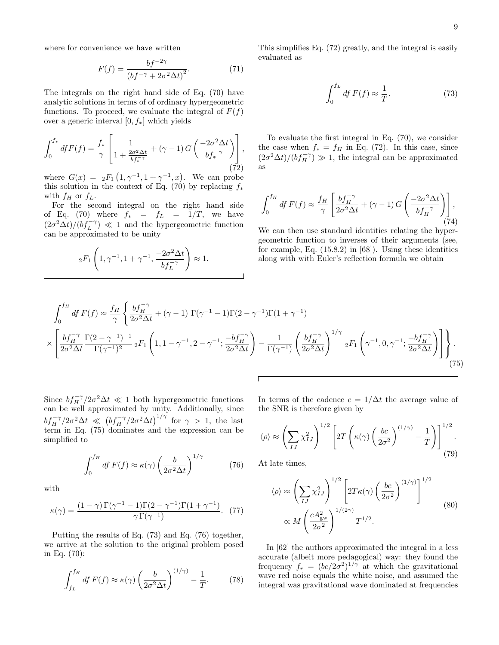where for convenience we have written

$$
F(f) = \frac{bf^{-2\gamma}}{\left(bf^{-\gamma} + 2\sigma^2 \Delta t\right)^2}.\tag{71}
$$

The integrals on the right hand side of Eq. (70) have analytic solutions in terms of of ordinary hypergeometric functions. To proceed, we evaluate the integral of  $F(f)$ over a generic interval  $[0, f_*]$  which yields

$$
\int_0^{f_*} dfF(f) = \frac{f_*}{\gamma} \left[ \frac{1}{1 + \frac{2\sigma^2 \Delta t}{bf_*^{-\gamma}}} + (\gamma - 1) G\left(\frac{-2\sigma^2 \Delta t}{bf_*^{-\gamma}}\right) \right],
$$
\n(72)

where  $G(x) = {}_{2}F_{1}(1, \gamma^{-1}, 1 + \gamma^{-1}, x)$ . We can probe this solution in the context of Eq. (70) by replacing  $f_*$ with  $f_H$  or  $f_L$ .

For the second integral on the right hand side of Eq. (70) where  $f_* = f_L = 1/T$ , we have  $(2\sigma^2\Delta t)/(b f_L^{-\gamma}) \ll 1$  and the hypergeometric function can be approximated to be unity

$$
{}_2F_1\left(1, \gamma^{-1}, 1+\gamma^{-1}, \frac{-2\sigma^2\Delta t}{b f_L^{-\gamma}}\right)\approx 1.
$$

This simplifies Eq. (72) greatly, and the integral is easily evaluated as

$$
\int_0^{f_L} df F(f) \approx \frac{1}{T}.
$$
\n(73)

To evaluate the first integral in Eq. (70), we consider the case when  $f_* = f_H$  in Eq. (72). In this case, since  $(2\sigma^2\Delta t)/(bf_H^{-\gamma}) \gg 1$ , the integral can be approximated as

$$
\int_0^{f_H} df F(f) \approx \frac{f_H}{\gamma} \left[ \frac{b f_H^{-\gamma}}{2\sigma^2 \Delta t} + (\gamma - 1) G \left( \frac{-2\sigma^2 \Delta t}{b f_H^{-\gamma}} \right) \right],
$$
\n(74)

We can then use standard identities relating the hypergeometric function to inverses of their arguments (see, for example, Eq. (15.8.2) in [68]). Using these identities along with with Euler's reflection formula we obtain

$$
\int_{0}^{f_{H}} df F(f) \approx \frac{f_{H}}{\gamma} \left\{ \frac{b f_{H}^{-\gamma}}{2\sigma^{2} \Delta t} + (\gamma - 1) \Gamma(\gamma^{-1} - 1) \Gamma(2 - \gamma^{-1}) \Gamma(1 + \gamma^{-1}) \right\}
$$
  
 
$$
\times \left[ \frac{b f_{H}^{-\gamma}}{2\sigma^{2} \Delta t} \frac{\Gamma(2 - \gamma^{-1})^{-1}}{\Gamma(\gamma^{-1})^{2}} 2F_{1} \left( 1, 1 - \gamma^{-1}, 2 - \gamma^{-1}; \frac{-b f_{H}^{-\gamma}}{2\sigma^{2} \Delta t} \right) - \frac{1}{\Gamma(\gamma^{-1})} \left( \frac{b f_{H}^{-\gamma}}{2\sigma^{2} \Delta t} \right)^{1/\gamma} 2F_{1} \left( \gamma^{-1}, 0, \gamma^{-1}; \frac{-b f_{H}^{-\gamma}}{2\sigma^{2} \Delta t} \right) \right\}.
$$
  
(75)

Since  $bf_{H}^{-\gamma}/2\sigma^2\Delta t \ll 1$  both hypergeometric functions can be well approximated by unity. Additionally, since  $bf_{H}^{-\gamma}/2\sigma^2\Delta t \ll (bf_{H}^{-\gamma}/2\sigma^2\Delta t)^{1/\gamma}$  for  $\gamma > 1$ , the last term in Eq. (75) dominates and the expression can be simplified to

$$
\int_0^{f_H} df F(f) \approx \kappa(\gamma) \left(\frac{b}{2\sigma^2 \Delta t}\right)^{1/\gamma} \tag{76}
$$

with

$$
\kappa(\gamma) = \frac{(1-\gamma)\Gamma(\gamma^{-1}-1)\Gamma(2-\gamma^{-1})\Gamma(1+\gamma^{-1})}{\gamma\Gamma(\gamma^{-1})}.
$$
 (77)

Putting the results of Eq. (73) and Eq. (76) together, we arrive at the solution to the original problem posed in Eq. (70):

$$
\int_{f_L}^{f_H} df F(f) \approx \kappa(\gamma) \left(\frac{b}{2\sigma^2 \Delta t}\right)^{(1/\gamma)} - \frac{1}{T}.
$$
 (78)

In terms of the cadence  $c = 1/\Delta t$  the average value of the SNR is therefore given by

$$
\langle \rho \rangle \approx \left( \sum_{IJ} \chi_{IJ}^2 \right)^{1/2} \left[ 2T \left( \kappa(\gamma) \left( \frac{bc}{2\sigma^2} \right)^{(1/\gamma)} - \frac{1}{T} \right) \right]^{1/2} . \tag{79}
$$

At late times,

$$
\langle \rho \rangle \approx \left( \sum_{IJ} \chi_{IJ}^2 \right)^{1/2} \left[ 2T \kappa(\gamma) \left( \frac{bc}{2\sigma^2} \right)^{(1/\gamma)} \right]^{1/2}
$$
  
 
$$
\propto M \left( \frac{c A_{\rm gw}^2}{2\sigma^2} \right)^{1/(2\gamma)} T^{1/2}.
$$
 (80)

In [62] the authors approximated the integral in a less accurate (albeit more pedagogical) way: they found the frequency  $f_r = (bc/2\sigma^2)^{1/\gamma}$  at which the gravitational wave red noise equals the white noise, and assumed the integral was gravitational wave dominated at frequencies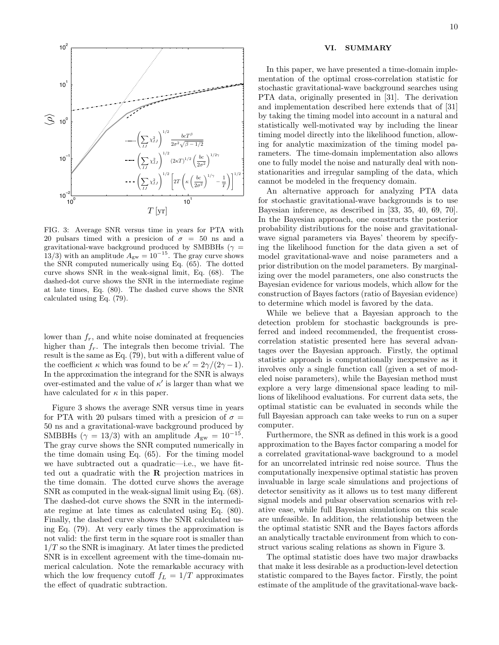

FIG. 3: Average SNR versus time in years for PTA with 20 pulsars timed with a presicion of  $\sigma = 50$  ns and a gravitational-wave background produced by SMBBHs ( $\gamma$  = 13/3) with an amplitude  $A_{\text{gw}} = 10^{-15}$ . The gray curve shows the SNR computed numerically using Eq. (65). The dotted curve shows SNR in the weak-signal limit, Eq. (68). The dashed-dot curve shows the SNR in the intermediate regime at late times, Eq. (80). The dashed curve shows the SNR calculated using Eq. (79).

lower than  $f_r$ , and white noise dominated at frequencies higher than  $f_r$ . The integrals then become trivial. The result is the same as Eq. (79), but with a different value of the coefficient  $\kappa$  which was found to be  $\kappa' = 2\gamma/(2\gamma - 1)$ . In the approximation the integrand for the SNR is always over-estimated and the value of  $\kappa'$  is larger than what we have calculated for  $\kappa$  in this paper.

Figure 3 shows the average SNR versus time in years for PTA with 20 pulsars timed with a presicion of  $\sigma =$ 50 ns and a gravitational-wave background produced by SMBBHs ( $\gamma = 13/3$ ) with an amplitude  $A_{\rm gw} = 10^{-15}$ . The gray curve shows the SNR computed numerically in the time domain using Eq. (65). For the timing model we have subtracted out a quadratic—i.e., we have fitted out a quadratic with the R projection matrices in the time domain. The dotted curve shows the average SNR as computed in the weak-signal limit using Eq. (68). The dashed-dot curve shows the SNR in the intermediate regime at late times as calculated using Eq. (80). Finally, the dashed curve shows the SNR calculated using Eq. (79). At very early times the approximation is not valid: the first term in the square root is smaller than  $1/T$  so the SNR is imaginary. At later times the predicted SNR is in excellent agreement with the time-domain numerical calculation. Note the remarkable accuracy with which the low frequency cutoff  $f_L = 1/T$  approximates the effect of quadratic subtraction.

#### VI. SUMMARY

In this paper, we have presented a time-domain implementation of the optimal cross-correlation statistic for stochastic gravitational-wave background searches using PTA data, originally presented in [31]. The derivation and implementation described here extends that of [31] by taking the timing model into account in a natural and statistically well-motivated way by including the linear timing model directly into the likelihood function, allowing for analytic maximization of the timing model parameters. The time-domain implementation also allows one to fully model the noise and naturally deal with nonstationarities and irregular sampling of the data, which cannot be modeled in the frequency domain.

An alternative approach for analyzing PTA data for stochastic gravitational-wave backgrounds is to use Bayesian inference, as described in [33, 35, 40, 69, 70]. In the Bayesian approach, one constructs the posterior probability distributions for the noise and gravitationalwave signal parameters via Bayes' theorem by specifying the likelihood function for the data given a set of model gravitational-wave and noise parameters and a prior distribution on the model parameters. By marginalizing over the model parameters, one also constructs the Bayesian evidence for various models, which allow for the construction of Bayes factors (ratio of Bayesian evidence) to determine which model is favored by the data.

While we believe that a Bayesian approach to the detection problem for stochastic backgrounds is preferred and indeed recommended, the frequentist crosscorrelation statistic presented here has several advantages over the Bayesian approach. Firstly, the optimal statistic approach is computationally inexpensive as it involves only a single function call (given a set of modeled noise parameters), while the Bayesian method must explore a very large dimensional space leading to millions of likelihood evaluations. For current data sets, the optimal statistic can be evaluated in seconds while the full Bayesian approach can take weeks to run on a super computer.

Furthermore, the SNR as defined in this work is a good approximation to the Bayes factor comparing a model for a correlated gravitational-wave background to a model for an uncorrelated intrinsic red noise source. Thus the computationally inexpensive optimal statistic has proven invaluable in large scale simulations and projections of detector sensitivity as it allows us to test many different signal models and pulsar observation scenarios with relative ease, while full Bayesian simulations on this scale are unfeasible. In addition, the relationship between the the optimal statistic SNR and the Bayes factors affords an analytically tractable environment from which to construct various scaling relations as shown in Figure 3.

The optimal statistic does have two major drawbacks that make it less desirable as a production-level detection statistic compared to the Bayes factor. Firstly, the point estimate of the amplitude of the gravitational-wave back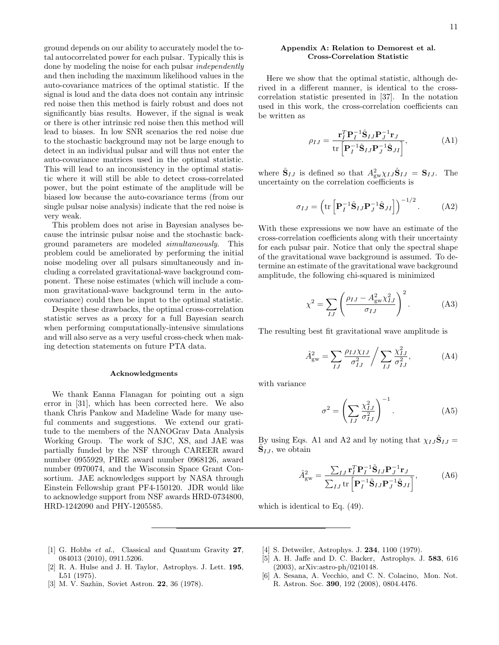ground depends on our ability to accurately model the total autocorrelated power for each pulsar. Typically this is done by modeling the noise for each pulsar independently and then including the maximum likelihood values in the auto-covariance matrices of the optimal statistic. If the signal is loud and the data does not contain any intrinsic red noise then this method is fairly robust and does not significantly bias results. However, if the signal is weak or there is other intrinsic red noise then this method will lead to biases. In low SNR scenarios the red noise due to the stochastic background may not be large enough to detect in an individual pulsar and will thus not enter the auto-covariance matrices used in the optimal statistic. This will lead to an inconsistency in the optimal statistic where it will still be able to detect cross-correlated power, but the point estimate of the amplitude will be biased low because the auto-covariance terms (from our single pulsar noise analysis) indicate that the red noise is very weak.

This problem does not arise in Bayesian analyses because the intrinsic pulsar noise and the stochastic background parameters are modeled simultaneously. This problem could be ameliorated by performing the initial noise modeling over all pulsars simultaneously and including a correlated gravitational-wave background component. These noise estimates (which will include a common gravitational-wave background term in the autocovariance) could then be input to the optimal statistic.

Despite these drawbacks, the optimal cross-correlation statistic serves as a proxy for a full Bayesian search when performing computationally-intensive simulations and will also serve as a very useful cross-check when making detection statements on future PTA data.

#### Acknowledgments

We thank Eanna Flanagan for pointing out a sign error in [31], which has been corrected here. We also thank Chris Pankow and Madeline Wade for many useful comments and suggestions. We extend our gratitude to the members of the NANOGrav Data Analysis Working Group. The work of SJC, XS, and JAE was partially funded by the NSF through CAREER award number 0955929, PIRE award number 0968126, award number 0970074, and the Wisconsin Space Grant Consortium. JAE acknowledges support by NASA through Einstein Fellowship grant PF4-150120. JDR would like to acknowledge support from NSF awards HRD-0734800, HRD-1242090 and PHY-1205585.

#### Appendix A: Relation to Demorest et al. Cross-Correlation Statistic

Here we show that the optimal statistic, although derived in a different manner, is identical to the crosscorrelation statistic presented in [37]. In the notation used in this work, the cross-correlation coefficients can be written as

$$
\rho_{IJ} = \frac{\mathbf{r}_I^T \mathbf{P}_I^{-1} \hat{\mathbf{S}}_{IJ} \mathbf{P}_J^{-1} \mathbf{r}_J}{\text{tr}\left[\mathbf{P}_I^{-1} \hat{\mathbf{S}}_{IJ} \mathbf{P}_J^{-1} \hat{\mathbf{S}}_{JI}\right]},\tag{A1}
$$

where  $\hat{\mathbf{S}}_{IJ}$  is defined so that  $A_{\text{gw}}^2 \chi_{IJ} \hat{\mathbf{S}}_{IJ} = \mathbf{S}_{IJ}$ . The uncertainty on the correlation coefficients is

$$
\sigma_{IJ} = \left( \text{tr} \left[ \mathbf{P}_I^{-1} \hat{\mathbf{S}}_{IJ} \mathbf{P}_J^{-1} \hat{\mathbf{S}}_{JI} \right] \right)^{-1/2} . \tag{A2}
$$

With these expressions we now have an estimate of the cross-correlation coefficients along with their uncertainty for each pulsar pair. Notice that only the spectral shape of the gravitational wave background is assumed. To determine an estimate of the gravitational wave background amplitude, the following chi-squared is minimized

$$
\chi^2 = \sum_{IJ} \left( \frac{\rho_{IJ} - A_{\rm gw}^2 \chi_{IJ}^2}{\sigma_{IJ}} \right)^2.
$$
 (A3)

The resulting best fit gravitational wave amplitude is

$$
\hat{A}_{\rm gw}^2 = \sum_{IJ} \frac{\rho_{IJ} \chi_{IJ}}{\sigma_{IJ}^2} / \sum_{IJ} \frac{\chi_{IJ}^2}{\sigma_{IJ}^2},
$$
 (A4)

with variance

$$
\sigma^2 = \left(\sum_{IJ} \frac{\chi_{IJ}^2}{\sigma_{IJ}^2}\right)^{-1}.\tag{A5}
$$

By using Eqs. A1 and A2 and by noting that  $\chi_{IJ}\hat{\mathbf{S}}_{IJ} =$  $\tilde{\mathbf{S}}_{IJ}$ , we obtain

$$
\hat{A}_{\text{gw}}^2 = \frac{\sum_{IJ} \mathbf{r}_I^T \mathbf{P}_I^{-1} \tilde{\mathbf{S}}_{IJ} \mathbf{P}_J^{-1} \mathbf{r}_J}{\sum_{IJ} \text{tr} \left[ \mathbf{P}_I^{-1} \tilde{\mathbf{S}}_{IJ} \mathbf{P}_J^{-1} \tilde{\mathbf{S}}_{JI} \right]},\tag{A6}
$$

which is identical to Eq. (49).

- [1] G. Hobbs et al., Classical and Quantum Gravity 27, 084013 (2010), 0911.5206.
- [2] R. A. Hulse and J. H. Taylor, Astrophys. J. Lett. 195, L51 (1975).
- [3] M. V. Sazhin, Soviet Astron. 22, 36 (1978).
- [4] S. Detweiler, Astrophys. J. **234**, 1100 (1979).
- [5] A. H. Jaffe and D. C. Backer, Astrophys. J. 583, 616 (2003), arXiv:astro-ph/0210148.
- [6] A. Sesana, A. Vecchio, and C. N. Colacino, Mon. Not. R. Astron. Soc. 390, 192 (2008), 0804.4476.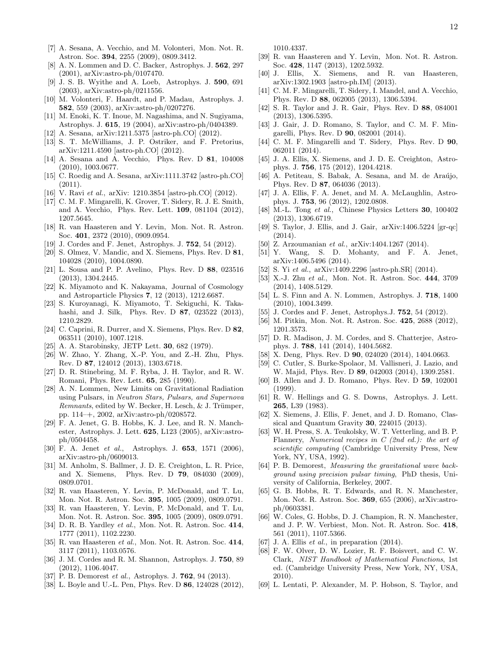- [8] A. N. Lommen and D. C. Backer, Astrophys. J. 562, 297 (2001), arXiv:astro-ph/0107470.
- [9] J. S. B. Wyithe and A. Loeb, Astrophys. J. 590, 691 (2003), arXiv:astro-ph/0211556.
- [10] M. Volonteri, F. Haardt, and P. Madau, Astrophys. J. 582, 559 (2003), arXiv:astro-ph/0207276.
- [11] M. Enoki, K. T. Inoue, M. Nagashima, and N. Sugiyama, Astrophys. J. 615, 19 (2004), arXiv:astro-ph/0404389.
- [12] A. Sesana, arXiv:1211.5375 [astro-ph.CO] (2012).
- [13] S. T. McWilliams, J. P. Ostriker, and F. Pretorius, arXiv:1211.4590 [astro-ph.CO] (2012).
- [14] A. Sesana and A. Vecchio, Phys. Rev. D 81, 104008 (2010), 1003.0677.
- [15] C. Roedig and A. Sesana, arXiv:1111.3742 [astro-ph.CO] (2011).
- [16] V. Ravi et al., arXiv: 1210.3854 [astro-ph.CO] (2012).
- [17] C. M. F. Mingarelli, K. Grover, T. Sidery, R. J. E. Smith, and A. Vecchio, Phys. Rev. Lett. 109, 081104 (2012), 1207.5645.
- [18] R. van Haasteren and Y. Levin, Mon. Not. R. Astron. Soc. 401, 2372 (2010), 0909.0954.
- [19] J. Cordes and F. Jenet, Astrophys. J. 752, 54 (2012).
- [20] S. Olmez, V. Mandic, and X. Siemens, Phys. Rev. D 81, 104028 (2010), 1004.0890.
- [21] L. Sousa and P. P. Avelino, Phys. Rev. D 88, 023516 (2013), 1304.2445.
- [22] K. Miyamoto and K. Nakayama, Journal of Cosmology and Astroparticle Physics 7, 12 (2013), 1212.6687.
- [23] S. Kuroyanagi, K. Miyamoto, T. Sekiguchi, K. Takahashi, and J. Silk, Phys. Rev. D 87, 023522 (2013), 1210.2829.
- [24] C. Caprini, R. Durrer, and X. Siemens, Phys. Rev. D 82, 063511 (2010), 1007.1218.
- [25] A. A. Starobinsky, JETP Lett. 30, 682 (1979).
- [26] W. Zhao, Y. Zhang, X.-P. You, and Z.-H. Zhu, Phys. Rev. D 87, 124012 (2013), 1303.6718.
- [27] D. R. Stinebring, M. F. Ryba, J. H. Taylor, and R. W. Romani, Phys. Rev. Lett. 65, 285 (1990).
- [28] A. N. Lommen, New Limits on Gravitational Radiation using Pulsars, in Neutron Stars, Pulsars, and Supernova  $Remants$ , edited by W. Becker, H. Lesch,  $& J.$  Trümper, pp. 114–+, 2002, arXiv:astro-ph/0208572.
- [29] F. A. Jenet, G. B. Hobbs, K. J. Lee, and R. N. Manchester, Astrophys. J. Lett. 625, L123 (2005), arXiv:astroph/0504458.
- [30] F. A. Jenet et al., Astrophys. J. 653, 1571 (2006), arXiv:astro-ph/0609013.
- [31] M. Anholm, S. Ballmer, J. D. E. Creighton, L. R. Price, and X. Siemens, Phys. Rev. D 79, 084030 (2009), 0809.0701.
- [32] R. van Haasteren, Y. Levin, P. McDonald, and T. Lu, Mon. Not. R. Astron. Soc. 395, 1005 (2009), 0809.0791.
- [33] R. van Haasteren, Y. Levin, P. McDonald, and T. Lu, Mon. Not. R. Astron. Soc. 395, 1005 (2009), 0809.0791.
- [34] D. R. B. Yardley et al., Mon. Not. R. Astron. Soc. 414, 1777 (2011), 1102.2230.
- [35] R. van Haasteren et al., Mon. Not. R. Astron. Soc. 414, 3117 (2011), 1103.0576.
- [36] J. M. Cordes and R. M. Shannon, Astrophys. J. 750, 89 (2012), 1106.4047.
- [37] P. B. Demorest et al., Astrophys. J. **762**, 94 (2013).
- [38] L. Boyle and U.-L. Pen, Phys. Rev. D **86**, 124028 (2012),

1010.4337.

- [39] R. van Haasteren and Y. Levin, Mon. Not. R. Astron. Soc. 428, 1147 (2013), 1202.5932.
- [40] J. Ellis, X. Siemens, and R. van Haasteren, arXiv:1302.1903 [astro-ph.IM] (2013).
- [41] C. M. F. Mingarelli, T. Sidery, I. Mandel, and A. Vecchio, Phys. Rev. D 88, 062005 (2013), 1306.5394.
- [42] S. R. Taylor and J. R. Gair, Phys. Rev. D 88, 084001 (2013), 1306.5395.
- [43] J. Gair, J. D. Romano, S. Taylor, and C. M. F. Mingarelli, Phys. Rev. D 90, 082001 (2014).
- [44] C. M. F. Mingarelli and T. Sidery, Phys. Rev. D **90**, 062011 (2014).
- [45] J. A. Ellis, X. Siemens, and J. D. E. Creighton, Astrophys. J. 756, 175 (2012), 1204.4218.
- [46] A. Petiteau, S. Babak, A. Sesana, and M. de Araújo, Phys. Rev. D 87, 064036 (2013).
- [47] J. A. Ellis, F. A. Jenet, and M. A. McLaughlin, Astrophys. J. 753, 96 (2012), 1202.0808.
- [48] M.-L. Tong *et al.*, Chinese Physics Letters **30**, 100402 (2013), 1306.6719.
- [49] S. Taylor, J. Ellis, and J. Gair, arXiv:1406.5224 [gr-qc] (2014).
- [50] Z. Arzoumanian et al., arXiv:1404.1267 (2014).
- [51] Y. Wang, S. D. Mohanty, and F. A. Jenet, arXiv:1406.5496 (2014).
- [52] S. Yi et al., arXiv:1409.2296 [astro-ph.SR] (2014).
- [53] X.-J. Zhu et al., Mon. Not. R. Astron. Soc. 444, 3709 (2014), 1408.5129.
- [54] L. S. Finn and A. N. Lommen, Astrophys. J. 718, 1400 (2010), 1004.3499.
- [55] J. Cordes and F. Jenet, Astrophys. J. **752**, 54 (2012).
- [56] M. Pitkin, Mon. Not. R. Astron. Soc. 425, 2688 (2012), 1201.3573.
- [57] D. R. Madison, J. M. Cordes, and S. Chatterjee, Astrophys. J. 788, 141 (2014), 1404.5682.
- [58] X. Deng, Phys. Rev. D **90**, 024020 (2014), 1404.0663.
- [59] C. Cutler, S. Burke-Spolaor, M. Vallisneri, J. Lazio, and W. Majid, Phys. Rev. D 89, 042003 (2014), 1309.2581.
- [60] B. Allen and J. D. Romano, Phys. Rev. D 59, 102001 (1999).
- [61] R. W. Hellings and G. S. Downs, Astrophys. J. Lett. 265, L39 (1983).
- [62] X. Siemens, J. Ellis, F. Jenet, and J. D. Romano, Classical and Quantum Gravity 30, 224015 (2013).
- [63] W. H. Press, S. A. Teukolsky, W. T. Vetterling, and B. P. Flannery, Numerical recipes in C (2nd ed.): the art of scientific computing (Cambridge University Press, New York, NY, USA, 1992).
- [64] P. B. Demorest, Measuring the gravitational wave background using precision pulsar timing, PhD thesis, University of California, Berkeley, 2007.
- [65] G. B. Hobbs, R. T. Edwards, and R. N. Manchester, Mon. Not. R. Astron. Soc. 369, 655 (2006), arXiv:astroph/0603381.
- [66] W. Coles, G. Hobbs, D. J. Champion, R. N. Manchester, and J. P. W. Verbiest, Mon. Not. R. Astron. Soc. 418, 561 (2011), 1107.5366.
- [67] J. A. Ellis  $et \ al.,$  in preparation (2014).
- [68] F. W. Olver, D. W. Lozier, R. F. Boisvert, and C. W. Clark, NIST Handbook of Mathematical Functions, 1st ed. (Cambridge University Press, New York, NY, USA, 2010).
- [69] L. Lentati, P. Alexander, M. P. Hobson, S. Taylor, and